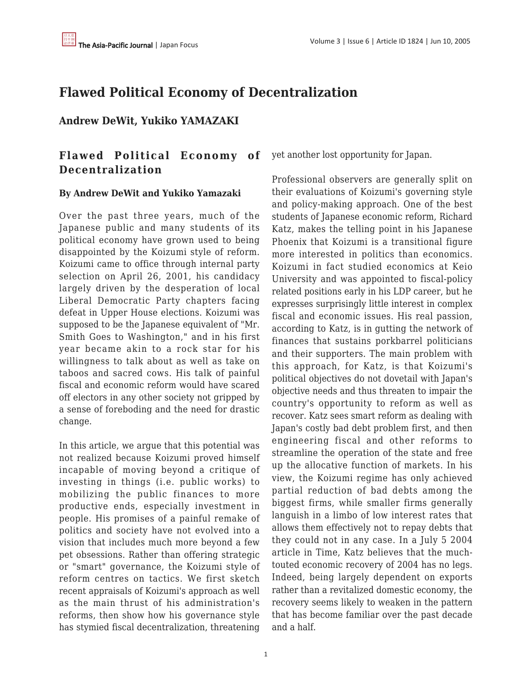# **Flawed Political Economy of Decentralization**

## **Andrew DeWit, Yukiko YAMAZAKI**

## **Flawed Political Economy of Decentralization**

### **By Andrew DeWit and Yukiko Yamazaki**

Over the past three years, much of the Japanese public and many students of its political economy have grown used to being disappointed by the Koizumi style of reform. Koizumi came to office through internal party selection on April 26, 2001, his candidacy largely driven by the desperation of local Liberal Democratic Party chapters facing defeat in Upper House elections. Koizumi was supposed to be the Japanese equivalent of "Mr. Smith Goes to Washington," and in his first year became akin to a rock star for his willingness to talk about as well as take on taboos and sacred cows. His talk of painful fiscal and economic reform would have scared off electors in any other society not gripped by a sense of foreboding and the need for drastic change.

In this article, we argue that this potential was not realized because Koizumi proved himself incapable of moving beyond a critique of investing in things (i.e. public works) to mobilizing the public finances to more productive ends, especially investment in people. His promises of a painful remake of politics and society have not evolved into a vision that includes much more beyond a few pet obsessions. Rather than offering strategic or "smart" governance, the Koizumi style of reform centres on tactics. We first sketch recent appraisals of Koizumi's approach as well as the main thrust of his administration's reforms, then show how his governance style has stymied fiscal decentralization, threatening

yet another lost opportunity for Japan.

Professional observers are generally split on their evaluations of Koizumi's governing style and policy-making approach. One of the best students of Japanese economic reform, Richard Katz, makes the telling point in his Japanese Phoenix that Koizumi is a transitional figure more interested in politics than economics. Koizumi in fact studied economics at Keio University and was appointed to fiscal-policy related positions early in his LDP career, but he expresses surprisingly little interest in complex fiscal and economic issues. His real passion, according to Katz, is in gutting the network of finances that sustains porkbarrel politicians and their supporters. The main problem with this approach, for Katz, is that Koizumi's political objectives do not dovetail with Japan's objective needs and thus threaten to impair the country's opportunity to reform as well as recover. Katz sees smart reform as dealing with Japan's costly bad debt problem first, and then engineering fiscal and other reforms to streamline the operation of the state and free up the allocative function of markets. In his view, the Koizumi regime has only achieved partial reduction of bad debts among the biggest firms, while smaller firms generally languish in a limbo of low interest rates that allows them effectively not to repay debts that they could not in any case. In a July 5 2004 article in Time, Katz believes that the muchtouted economic recovery of 2004 has no legs. Indeed, being largely dependent on exports rather than a revitalized domestic economy, the recovery seems likely to weaken in the pattern that has become familiar over the past decade and a half.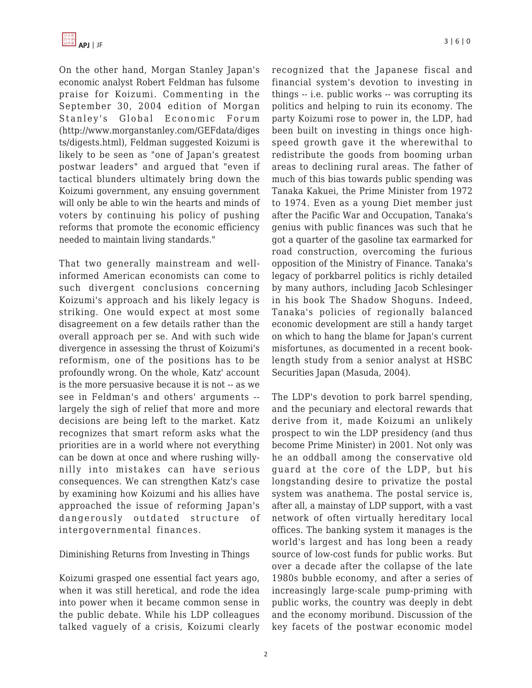On the other hand, Morgan Stanley Japan's economic analyst Robert Feldman has fulsome praise for Koizumi. Commenting in the September 30, 2004 edition of Morgan Stanley's Global Economic Forum (http://www.morganstanley.com/GEFdata/diges ts/digests.html), Feldman suggested Koizumi is likely to be seen as "one of Japan's greatest postwar leaders" and argued that "even if tactical blunders ultimately bring down the Koizumi government, any ensuing government will only be able to win the hearts and minds of voters by continuing his policy of pushing reforms that promote the economic efficiency needed to maintain living standards."

That two generally mainstream and wellinformed American economists can come to such divergent conclusions concerning Koizumi's approach and his likely legacy is striking. One would expect at most some disagreement on a few details rather than the overall approach per se. And with such wide divergence in assessing the thrust of Koizumi's reformism, one of the positions has to be profoundly wrong. On the whole, Katz' account is the more persuasive because it is not -- as we see in Feldman's and others' arguments - largely the sigh of relief that more and more decisions are being left to the market. Katz recognizes that smart reform asks what the priorities are in a world where not everything can be down at once and where rushing willynilly into mistakes can have serious consequences. We can strengthen Katz's case by examining how Koizumi and his allies have approached the issue of reforming Japan's dangerously outdated structure of intergovernmental finances.

### Diminishing Returns from Investing in Things

Koizumi grasped one essential fact years ago, when it was still heretical, and rode the idea into power when it became common sense in the public debate. While his LDP colleagues talked vaguely of a crisis, Koizumi clearly recognized that the Japanese fiscal and financial system's devotion to investing in things -- i.e. public works -- was corrupting its politics and helping to ruin its economy. The party Koizumi rose to power in, the LDP, had been built on investing in things once highspeed growth gave it the wherewithal to redistribute the goods from booming urban areas to declining rural areas. The father of much of this bias towards public spending was Tanaka Kakuei, the Prime Minister from 1972 to 1974. Even as a young Diet member just after the Pacific War and Occupation, Tanaka's genius with public finances was such that he got a quarter of the gasoline tax earmarked for road construction, overcoming the furious opposition of the Ministry of Finance. Tanaka's legacy of porkbarrel politics is richly detailed by many authors, including Jacob Schlesinger in his book The Shadow Shoguns. Indeed, Tanaka's policies of regionally balanced economic development are still a handy target on which to hang the blame for Japan's current misfortunes, as documented in a recent booklength study from a senior analyst at HSBC Securities Japan (Masuda, 2004).

The LDP's devotion to pork barrel spending, and the pecuniary and electoral rewards that derive from it, made Koizumi an unlikely prospect to win the LDP presidency (and thus become Prime Minister) in 2001. Not only was he an oddball among the conservative old guard at the core of the LDP, but his longstanding desire to privatize the postal system was anathema. The postal service is, after all, a mainstay of LDP support, with a vast network of often virtually hereditary local offices. The banking system it manages is the world's largest and has long been a ready source of low-cost funds for public works. But over a decade after the collapse of the late 1980s bubble economy, and after a series of increasingly large-scale pump-priming with public works, the country was deeply in debt and the economy moribund. Discussion of the key facets of the postwar economic model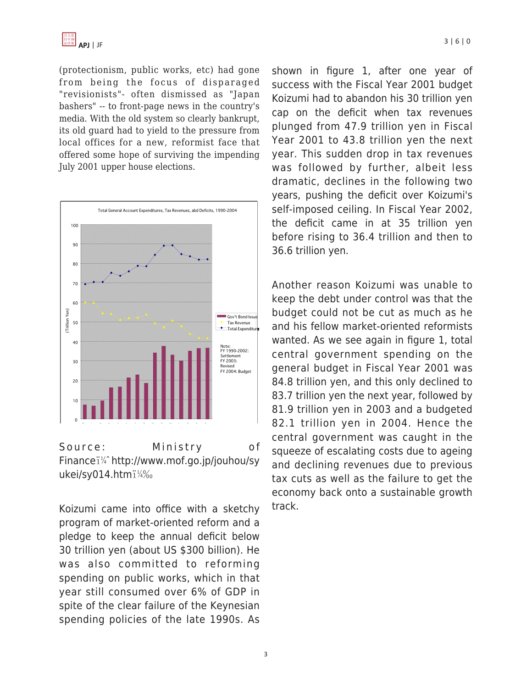

(protectionism, public works, etc) had gone from being the focus of disparaged "revisionists"- often dismissed as "Japan bashers" -- to front-page news in the country's media. With the old system so clearly bankrupt, its old guard had to yield to the pressure from local offices for a new, reformist face that offered some hope of surviving the impending July 2001 upper house elections.



Source: Ministry of Finance i<sup>1/4</sup> http://www.mof.go.jp/jouhou/sy ukei/sy014.htmi1/4%

Koizumi came into office with a sketchy program of market-oriented reform and a pledge to keep the annual deficit below 30 trillion yen (about US \$300 billion). He was also committed to reforming spending on public works, which in that year still consumed over 6% of GDP in spite of the clear failure of the Keynesian spending policies of the late 1990s. As shown in figure 1, after one year of success with the Fiscal Year 2001 budget Koizumi had to abandon his 30 trillion yen cap on the deficit when tax revenues plunged from 47.9 trillion yen in Fiscal Year 2001 to 43.8 trillion yen the next year. This sudden drop in tax revenues was followed by further, albeit less dramatic, declines in the following two years, pushing the deficit over Koizumi's self-imposed ceiling. In Fiscal Year 2002, the deficit came in at 35 trillion yen before rising to 36.4 trillion and then to 36.6 trillion yen.

Another reason Koizumi was unable to keep the debt under control was that the budget could not be cut as much as he and his fellow market-oriented reformists wanted. As we see again in figure 1, total central government spending on the general budget in Fiscal Year 2001 was 84.8 trillion yen, and this only declined to 83.7 trillion yen the next year, followed by 81.9 trillion yen in 2003 and a budgeted 82.1 trillion yen in 2004. Hence the central government was caught in the squeeze of escalating costs due to ageing and declining revenues due to previous tax cuts as well as the failure to get the economy back onto a sustainable growth track.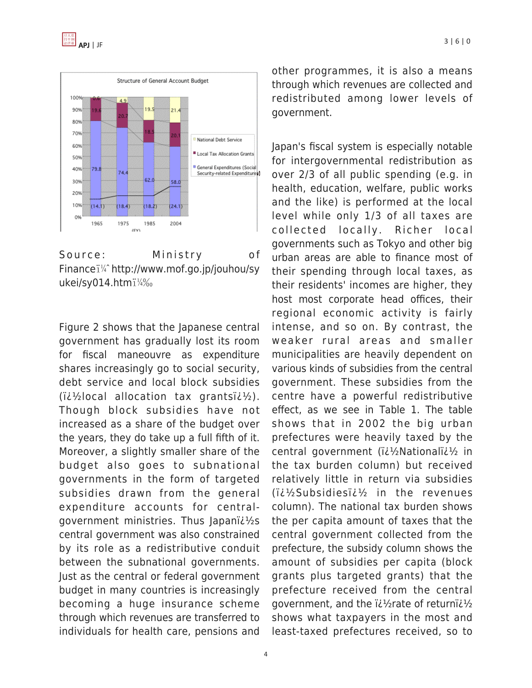



Source: Ministry of Finance $i\frac{1}{4}$  http://www.mof.go.jp/jouhou/sy ukei/sy014.htmi1/4%

Figure 2 shows that the Japanese central government has gradually lost its room for fiscal maneouvre as expenditure shares increasingly go to social security, debt service and local block subsidies  $(i\lambda/2)$ local allocation tax grants $(i\lambda/2)$ . Though block subsidies have not increased as a share of the budget over the years, they do take up a full fifth of it. Moreover, a slightly smaller share of the budget also goes to subnational governments in the form of targeted subsidies drawn from the general expenditure accounts for centralgovernment ministries. Thus Japan $i^2$ s central government was also constrained by its role as a redistributive conduit between the subnational governments. Just as the central or federal government budget in many countries is increasingly becoming a huge insurance scheme through which revenues are transferred to individuals for health care, pensions and other programmes, it is also a means through which revenues are collected and redistributed among lower levels of government.

Japan's fiscal system is especially notable for intergovernmental redistribution as over 2/3 of all public spending (e.g. in health, education, welfare, public works and the like) is performed at the local level while only 1/3 of all taxes are collected locally. Richer local governments such as Tokyo and other big urban areas are able to finance most of their spending through local taxes, as their residents' incomes are higher, they host most corporate head offices, their regional economic activity is fairly intense, and so on. By contrast, the weaker rural areas and smaller municipalities are heavily dependent on various kinds of subsidies from the central government. These subsidies from the centre have a powerful redistributive effect, as we see in Table 1. The table shows that in 2002 the big urban prefectures were heavily taxed by the central government (ii1/2Nationalii1/2 in the tax burden column) but received relatively little in return via subsidies  $(i\lambda/2)$ Subsidies $i\lambda/2$  in the revenues column). The national tax burden shows the per capita amount of taxes that the central government collected from the prefecture, the subsidy column shows the amount of subsidies per capita (block grants plus targeted grants) that the prefecture received from the central government, and the  $i\ell$  and  $\ell$  at extends of return  $i\ell$ shows what taxpayers in the most and least-taxed prefectures received, so to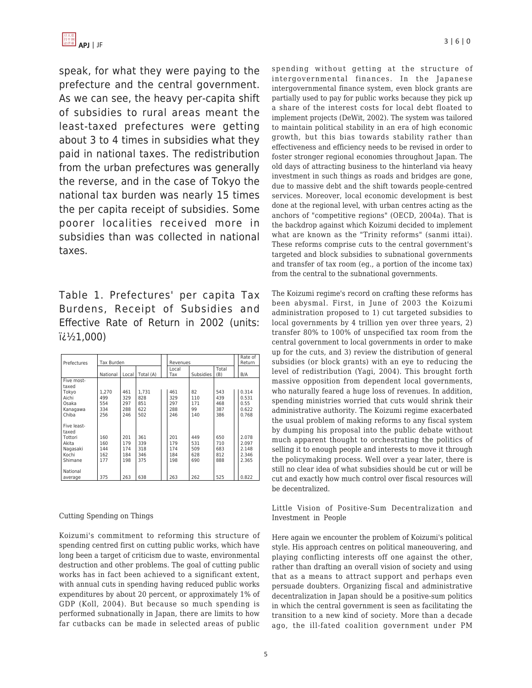speak, for what they were paying to the prefecture and the central government. As we can see, the heavy per-capita shift of subsidies to rural areas meant the least-taxed prefectures were getting about 3 to 4 times in subsidies what they paid in national taxes. The redistribution from the urban prefectures was generally the reverse, and in the case of Tokyo the national tax burden was nearly 15 times the per capita receipt of subsidies. Some poorer localities received more in subsidies than was collected in national taxes.

Table 1. Prefectures' per capita Tax Burdens, Receipt of Subsidies and Effective Rate of Return in 2002 (units:  $i\lambda^{1/2}1.000$ 

| Prefectures                                                                          | Tax Burden                        |                                 |                                   | Revenues                        |                                 |                                 | Rate of<br>Return                         |
|--------------------------------------------------------------------------------------|-----------------------------------|---------------------------------|-----------------------------------|---------------------------------|---------------------------------|---------------------------------|-------------------------------------------|
|                                                                                      | National                          | Local                           | Total (A)                         | Local<br>Tax                    | <b>Subsidies</b>                | Total<br>(B)                    | B/A                                       |
| Five most-                                                                           |                                   |                                 |                                   |                                 |                                 |                                 |                                           |
| taxed<br>Tokyo<br>Aichi<br>Osaka<br>Kanagawa<br>Chiba                                | 1.270<br>499<br>554<br>334<br>256 | 461<br>329<br>297<br>288<br>246 | 1.731<br>828<br>851<br>622<br>502 | 461<br>329<br>297<br>288<br>246 | 82<br>110<br>171<br>99<br>140   | 543<br>439<br>468<br>387<br>386 | 0.314<br>0.531<br>0.55<br>0.622<br>0.768  |
| Five least-<br>taxed<br>Tottori<br>Akita<br>Nagasaki<br>Kochi<br>Shimane<br>National | 160<br>160<br>144<br>162<br>177   | 201<br>179<br>174<br>184<br>198 | 361<br>339<br>318<br>346<br>375   | 201<br>179<br>174<br>184<br>198 | 449<br>531<br>509<br>628<br>690 | 650<br>710<br>683<br>812<br>888 | 2.078<br>2.097<br>2.148<br>2.346<br>2.365 |
| average                                                                              | 375                               | 263                             | 638                               | 263                             | 262                             | 525                             | 0.822                                     |

#### Cutting Spending on Things

Koizumi's commitment to reforming this structure of spending centred first on cutting public works, which have long been a target of criticism due to waste, environmental destruction and other problems. The goal of cutting public works has in fact been achieved to a significant extent, with annual cuts in spending having reduced public works expenditures by about 20 percent, or approximately 1% of GDP (Koll, 2004). But because so much spending is performed subnationally in Japan, there are limits to how far cutbacks can be made in selected areas of public spending without getting at the structure of intergovernmental finances. In the Japanese intergovernmental finance system, even block grants are partially used to pay for public works because they pick up a share of the interest costs for local debt floated to implement projects (DeWit, 2002). The system was tailored to maintain political stability in an era of high economic growth, but this bias towards stability rather than effectiveness and efficiency needs to be revised in order to foster stronger regional economies throughout Japan. The old days of attracting business to the hinterland via heavy investment in such things as roads and bridges are gone, due to massive debt and the shift towards people-centred services. Moreover, local economic development is best done at the regional level, with urban centres acting as the anchors of "competitive regions" (OECD, 2004a). That is the backdrop against which Koizumi decided to implement what are known as the "Trinity reforms" (sanmi ittai). These reforms comprise cuts to the central government's targeted and block subsidies to subnational governments and transfer of tax room (eg., a portion of the income tax) from the central to the subnational governments.

The Koizumi regime's record on crafting these reforms has been abysmal. First, in June of 2003 the Koizumi administration proposed to 1) cut targeted subsidies to local governments by 4 trillion yen over three years, 2) transfer 80% to 100% of unspecified tax room from the central government to local governments in order to make up for the cuts, and 3) review the distribution of general subsidies (or block grants) with an eye to reducing the level of redistribution (Yagi, 2004). This brought forth massive opposition from dependent local governments, who naturally feared a huge loss of revenues. In addition, spending ministries worried that cuts would shrink their administrative authority. The Koizumi regime exacerbated the usual problem of making reforms to any fiscal system by dumping his proposal into the public debate without much apparent thought to orchestrating the politics of selling it to enough people and interests to move it through the policymaking process. Well over a year later, there is still no clear idea of what subsidies should be cut or will be cut and exactly how much control over fiscal resources will be decentralized.

Little Vision of Positive-Sum Decentralization and Investment in People

Here again we encounter the problem of Koizumi's political style. His approach centres on political maneouvering, and playing conflicting interests off one against the other, rather than drafting an overall vision of society and using that as a means to attract support and perhaps even persuade doubters. Organizing fiscal and administrative decentralization in Japan should be a positive-sum politics in which the central government is seen as facilitating the transition to a new kind of society. More than a decade ago, the ill-fated coalition government under PM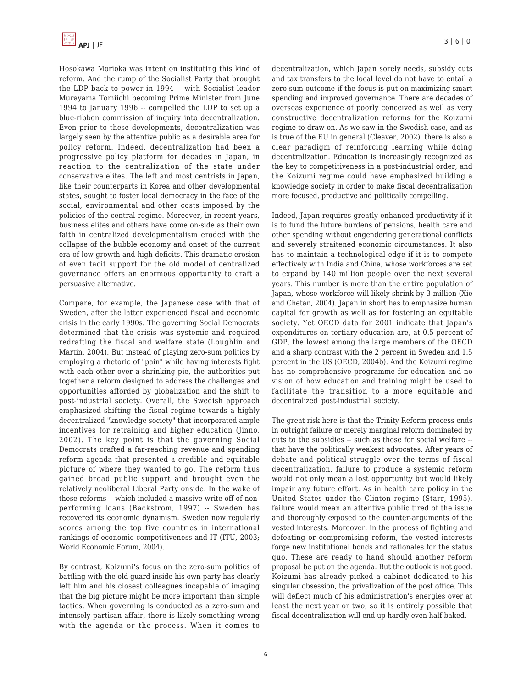Hosokawa Morioka was intent on instituting this kind of reform. And the rump of the Socialist Party that brought the LDP back to power in 1994 -- with Socialist leader Murayama Tomiichi becoming Prime Minister from June 1994 to January 1996 -- compelled the LDP to set up a blue-ribbon commission of inquiry into decentralization. Even prior to these developments, decentralization was largely seen by the attentive public as a desirable area for policy reform. Indeed, decentralization had been a progressive policy platform for decades in Japan, in reaction to the centralization of the state under conservative elites. The left and most centrists in Japan, like their counterparts in Korea and other developmental states, sought to foster local democracy in the face of the social, environmental and other costs imposed by the policies of the central regime. Moreover, in recent years, business elites and others have come on-side as their own faith in centralized developmentalism eroded with the collapse of the bubble economy and onset of the current era of low growth and high deficits. This dramatic erosion of even tacit support for the old model of centralized governance offers an enormous opportunity to craft a persuasive alternative.

Compare, for example, the Japanese case with that of Sweden, after the latter experienced fiscal and economic crisis in the early 1990s. The governing Social Democrats determined that the crisis was systemic and required redrafting the fiscal and welfare state (Loughlin and Martin, 2004). But instead of playing zero-sum politics by employing a rhetoric of "pain" while having interests fight with each other over a shrinking pie, the authorities put together a reform designed to address the challenges and opportunities afforded by globalization and the shift to post-industrial society. Overall, the Swedish approach emphasized shifting the fiscal regime towards a highly decentralized "knowledge society" that incorporated ample incentives for retraining and higher education (Jinno, 2002). The key point is that the governing Social Democrats crafted a far-reaching revenue and spending reform agenda that presented a credible and equitable picture of where they wanted to go. The reform thus gained broad public support and brought even the relatively neoliberal Liberal Party onside. In the wake of these reforms -- which included a massive write-off of nonperforming loans (Backstrom, 1997) -- Sweden has recovered its economic dynamism. Sweden now regularly scores among the top five countries in international rankings of economic competitiveness and IT (ITU, 2003; World Economic Forum, 2004).

By contrast, Koizumi's focus on the zero-sum politics of battling with the old guard inside his own party has clearly left him and his closest colleagues incapable of imaging that the big picture might be more important than simple tactics. When governing is conducted as a zero-sum and intensely partisan affair, there is likely something wrong with the agenda or the process. When it comes to decentralization, which Japan sorely needs, subsidy cuts and tax transfers to the local level do not have to entail a zero-sum outcome if the focus is put on maximizing smart spending and improved governance. There are decades of overseas experience of poorly conceived as well as very constructive decentralization reforms for the Koizumi regime to draw on. As we saw in the Swedish case, and as is true of the EU in general (Cleaver, 2002), there is also a clear paradigm of reinforcing learning while doing decentralization. Education is increasingly recognized as the key to competitiveness in a post-industrial order, and the Koizumi regime could have emphasized building a knowledge society in order to make fiscal decentralization more focused, productive and politically compelling.

Indeed, Japan requires greatly enhanced productivity if it is to fund the future burdens of pensions, health care and other spending without engendering generational conflicts and severely straitened economic circumstances. It also has to maintain a technological edge if it is to compete effectively with India and China, whose workforces are set to expand by 140 million people over the next several years. This number is more than the entire population of Japan, whose workforce will likely shrink by 3 million (Xie and Chetan, 2004). Japan in short has to emphasize human capital for growth as well as for fostering an equitable society. Yet OECD data for 2001 indicate that Japan's expenditures on tertiary education are, at 0.5 percent of GDP, the lowest among the large members of the OECD and a sharp contrast with the 2 percent in Sweden and 1.5 percent in the US (OECD, 2004b). And the Koizumi regime has no comprehensive programme for education and no vision of how education and training might be used to facilitate the transition to a more equitable and decentralized post-industrial society.

The great risk here is that the Trinity Reform process ends in outright failure or merely marginal reform dominated by cuts to the subsidies -- such as those for social welfare - that have the politically weakest advocates. After years of debate and political struggle over the terms of fiscal decentralization, failure to produce a systemic reform would not only mean a lost opportunity but would likely impair any future effort. As in health care policy in the United States under the Clinton regime (Starr, 1995), failure would mean an attentive public tired of the issue and thoroughly exposed to the counter-arguments of the vested interests. Moreover, in the process of fighting and defeating or compromising reform, the vested interests forge new institutional bonds and rationales for the status quo. These are ready to hand should another reform proposal be put on the agenda. But the outlook is not good. Koizumi has already picked a cabinet dedicated to his singular obsession, the privatization of the post office. This will deflect much of his administration's energies over at least the next year or two, so it is entirely possible that fiscal decentralization will end up hardly even half-baked.